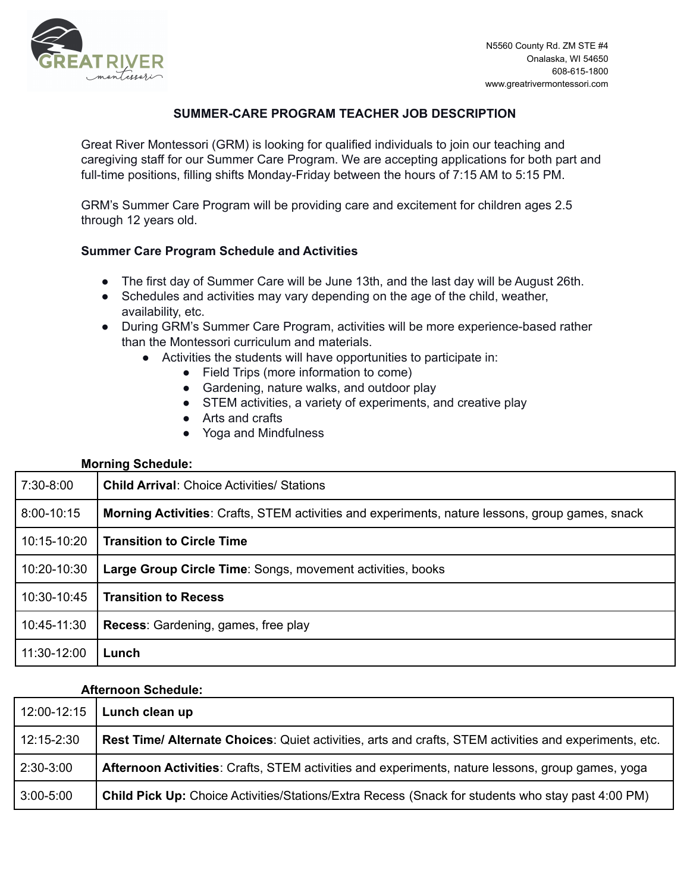

# **SUMMER-CARE PROGRAM TEACHER JOB DESCRIPTION**

Great River Montessori (GRM) is looking for qualified individuals to join our teaching and caregiving staff for our Summer Care Program. We are accepting applications for both part and full-time positions, filling shifts Monday-Friday between the hours of 7:15 AM to 5:15 PM.

GRM's Summer Care Program will be providing care and excitement for children ages 2.5 through 12 years old.

# **Summer Care Program Schedule and Activities**

- The first day of Summer Care will be June 13th, and the last day will be August 26th.
- Schedules and activities may vary depending on the age of the child, weather, availability, etc.
- During GRM's Summer Care Program, activities will be more experience-based rather than the Montessori curriculum and materials.
	- Activities the students will have opportunities to participate in:
		- Field Trips (more information to come)
		- Gardening, nature walks, and outdoor play
		- STEM activities, a variety of experiments, and creative play
		- Arts and crafts
		- Yoga and Mindfulness

## **Morning Schedule:**

| 7:30-8:00     | <b>Child Arrival:</b> Choice Activities/ Stations                                                      |
|---------------|--------------------------------------------------------------------------------------------------------|
| $8:00-10:15$  | <b>Morning Activities: Crafts, STEM activities and experiments, nature lessons, group games, snack</b> |
| 10:15-10:20   | <b>Transition to Circle Time</b>                                                                       |
| 10:20-10:30   | Large Group Circle Time: Songs, movement activities, books                                             |
| $10:30-10:45$ | <b>Transition to Recess</b>                                                                            |
| 10:45-11:30   | <b>Recess:</b> Gardening, games, free play                                                             |
| 11:30-12:00   | Lunch                                                                                                  |

#### **Afternoon Schedule:**

| 12:00-12:15   | Lunch clean up                                                                                           |
|---------------|----------------------------------------------------------------------------------------------------------|
| 12:15-2:30    | Rest Time/ Alternate Choices: Quiet activities, arts and crafts, STEM activities and experiments, etc.   |
| $2:30-3:00$   | Afternoon Activities: Crafts, STEM activities and experiments, nature lessons, group games, yoga         |
| $3:00 - 5:00$ | <b>Child Pick Up:</b> Choice Activities/Stations/Extra Recess (Snack for students who stay past 4:00 PM) |